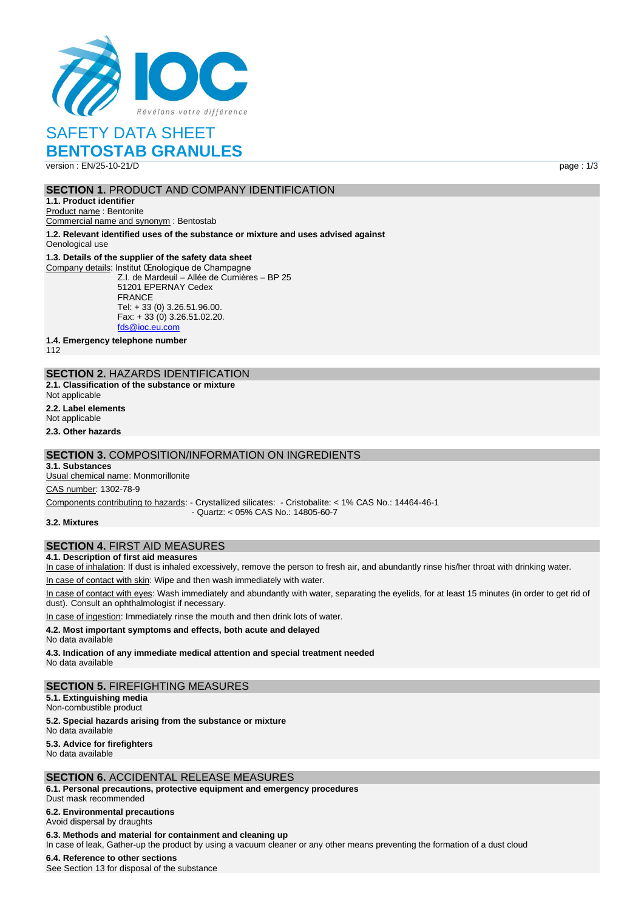

# SAFETY DATA SHEET

# **BENTOSTAB GRANULES**

version : EN/25-10-21/D page : 1/3

## **SECTION 1. PRODUCT AND COMPANY IDENTIFICATION**

**1.1. Product identifier**

Product name : Bentonite Commercial name and synonym : Bentostab

**1.2. Relevant identified uses of the substance or mixture and uses advised against**

Oenological use

#### **1.3. Details of the supplier of the safety data sheet**

Company details: Institut Œnologique de Champagne Z.I. de Mardeuil – Allée de Cumières – BP 25 51201 EPERNAY Cedex **FRANCE** Tel: + 33 (0) 3.26.51.96.00. Fax: + 33 (0) 3.26.51.02.20. [fds@ioc.eu.com](mailto:fds@ioc.eu.com)

**1.4. Emergency telephone number**

112

## **SECTION 2.** HAZARDS IDENTIFICATION

**2.1. Classification of the substance or mixture** Not applicable

**2.2. Label elements**

Not applicable

**2.3. Other hazards**

### **SECTION 3.** COMPOSITION/INFORMATION ON INGREDIENTS

**3.1. Substances**

Usual chemical name: Monmorillonite

CAS number: 1302-78-9

Components contributing to hazards: - Crystallized silicates: - Cristobalite: < 1% CAS No.: 14464-46-1 - Quartz: < 05% CAS No.: 14805-60-7

**3.2. Mixtures**

## **SECTION 4.** FIRST AID MEASURES

**4.1. Description of first aid measures**

In case of inhalation: If dust is inhaled excessively, remove the person to fresh air, and abundantly rinse his/her throat with drinking water.

In case of contact with skin: Wipe and then wash immediately with water.

In case of contact with eyes: Wash immediately and abundantly with water, separating the eyelids, for at least 15 minutes (in order to get rid of dust). Consult an ophthalmologist if necessary.

In case of ingestion: Immediately rinse the mouth and then drink lots of water.

#### **4.2. Most important symptoms and effects, both acute and delayed**

No data available

**4.3. Indication of any immediate medical attention and special treatment needed** No data available

## **SECTION 5.** FIREFIGHTING MEASURES

**5.1. Extinguishing media** Non-combustible product

**5.2. Special hazards arising from the substance or mixture**

No data available

**5.3. Advice for firefighters** No data available

## **SECTION 6.** ACCIDENTAL RELEASE MEASURES

**6.1. Personal precautions, protective equipment and emergency procedures** Dust mask recommended

## **6.2. Environmental precautions**

Avoid dispersal by draughts

#### **6.3. Methods and material for containment and cleaning up**

In case of leak, Gather-up the product by using a vacuum cleaner or any other means preventing the formation of a dust cloud

#### **6.4. Reference to other sections**

See Section 13 for disposal of the substance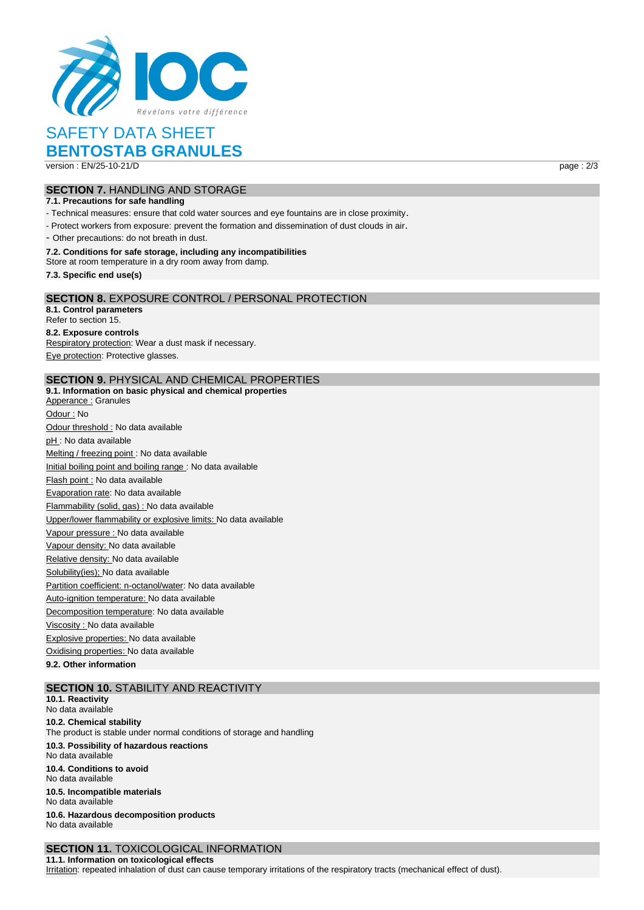

# SAFETY DATA SHEET

# **BENTOSTAB GRANULES**

version : EN/25-10-21/D page : 2/3

## **SECTION 7.** HANDLING AND STORAGE

#### **7.1. Precautions for safe handling**

- Technical measures: ensure that cold water sources and eye fountains are in close proximity.

- Protect workers from exposure: prevent the formation and dissemination of dust clouds in air.

- Other precautions: do not breath in dust.

#### **7.2. Conditions for safe storage, including any incompatibilities**

Store at room temperature in a dry room away from damp.

**7.3. Specific end use(s)**

#### **SECTION 8.** EXPOSURE CONTROL / PERSONAL PROTECTION

**8.1. Control parameters** Refer to section 15.

#### **8.2. Exposure controls**

Respiratory protection: Wear a dust mask if necessary. Eye protection: Protective glasses.

## **SECTION 9.** PHYSICAL AND CHEMICAL PROPERTIES

**9.1. Information on basic physical and chemical properties** Apperance : Granules Odour : No Odour threshold : No data available pH : No data available Melting / freezing point : No data available Initial boiling point and boiling range : No data available Flash point : No data available Evaporation rate: No data available Flammability (solid, gas) : No data available Upper/lower flammability or explosive limits: No data available Vapour pressure : No data available Vapour density: No data available Relative density: No data available Solubility(ies); No data available Partition coefficient: n-octanol/water: No data available Auto-ignition temperature: No data available Decomposition temperature: No data available Viscosity : No data available Explosive properties: No data available Oxidising properties: No data available

## **9.2. Other information**

## **SECTION 10.** STABILITY AND REACTIVITY

**10.1. Reactivity** No data available **10.2. Chemical stability** The product is stable under normal conditions of storage and handling **10.3. Possibility of hazardous reactions** No data available **10.4. Conditions to avoid** No data available **10.5. Incompatible materials** No data available **10.6. Hazardous decomposition products** No data available

## **SECTION 11.** TOXICOLOGICAL INFORMATION

**11.1. Information on toxicological effects** Irritation: repeated inhalation of dust can cause temporary irritations of the respiratory tracts (mechanical effect of dust).